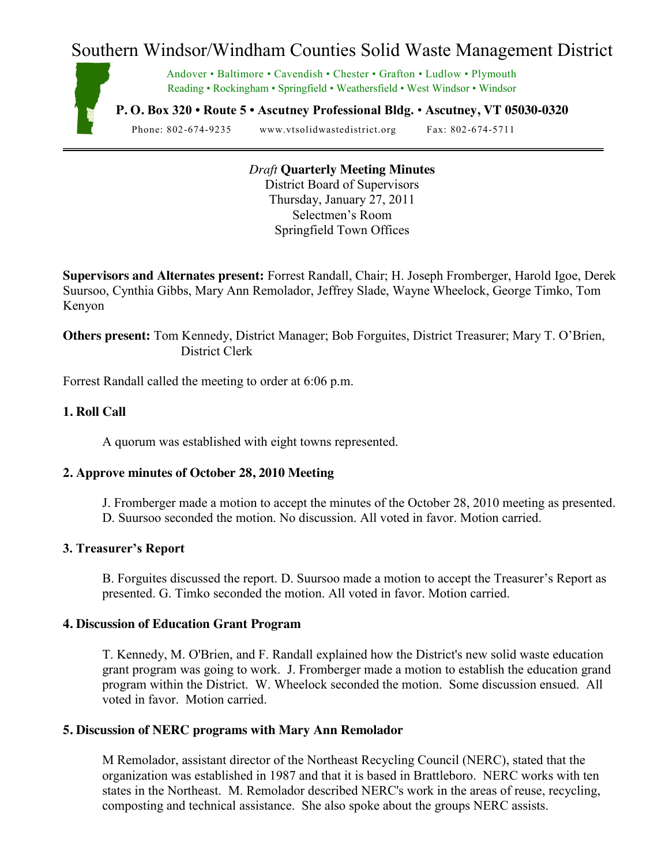# Southern Windsor/Windham Counties Solid Waste Management District



Andover • Baltimore • Cavendish • Chester • Grafton • Ludlow • Plymouth Reading • Rockingham • Springfield • Weathersfield • West Windsor • Windsor

**P. O. Box 320 • Route 5 • Ascutney Professional Bldg.** • **Ascutney, VT 05030-0320**

Phone: 802-674-9235 www.vtsolidwastedistrict.org Fax: 802-674-5711

*Draft* **Quarterly Meeting Minutes** District Board of Supervisors Thursday, January 27, 2011 Selectmen's Room Springfield Town Offices

**Supervisors and Alternates present:** Forrest Randall, Chair; H. Joseph Fromberger, Harold Igoe, Derek Suursoo, Cynthia Gibbs, Mary Ann Remolador, Jeffrey Slade, Wayne Wheelock, George Timko, Tom Kenyon

**Others present:** Tom Kennedy, District Manager; Bob Forguites, District Treasurer; Mary T. O'Brien, District Clerk

Forrest Randall called the meeting to order at 6:06 p.m.

## **1. Roll Call**

A quorum was established with eight towns represented.

## **2. Approve minutes of October 28, 2010 Meeting**

J. Fromberger made a motion to accept the minutes of the October 28, 2010 meeting as presented. D. Suursoo seconded the motion. No discussion. All voted in favor. Motion carried.

## **3. Treasurer's Report**

B. Forguites discussed the report. D. Suursoo made a motion to accept the Treasurer's Report as presented. G. Timko seconded the motion. All voted in favor. Motion carried.

#### **4. Discussion of Education Grant Program**

T. Kennedy, M. O'Brien, and F. Randall explained how the District's new solid waste education grant program was going to work. J. Fromberger made a motion to establish the education grand program within the District. W. Wheelock seconded the motion. Some discussion ensued. All voted in favor. Motion carried.

#### **5. Discussion of NERC programs with Mary Ann Remolador**

M Remolador, assistant director of the Northeast Recycling Council (NERC), stated that the organization was established in 1987 and that it is based in Brattleboro. NERC works with ten states in the Northeast. M. Remolador described NERC's work in the areas of reuse, recycling, composting and technical assistance. She also spoke about the groups NERC assists.